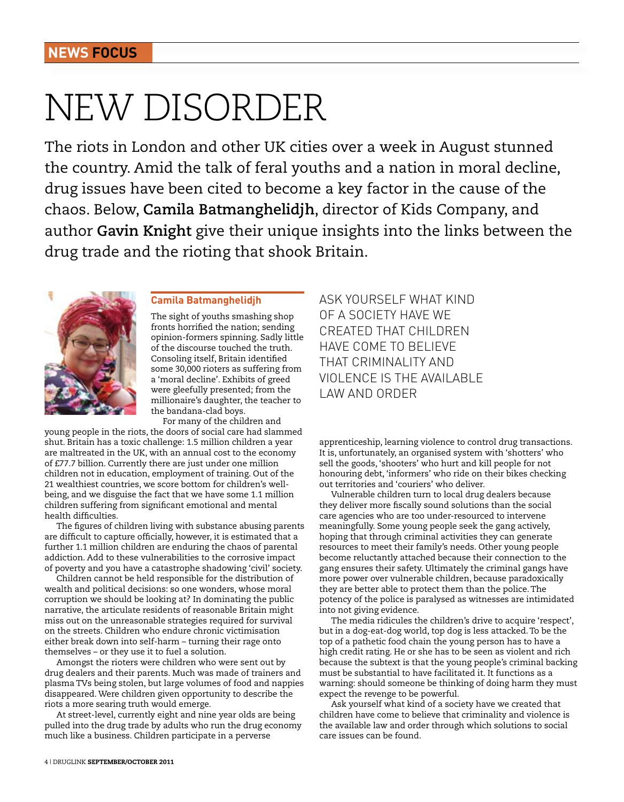# New disorder

The riots in London and other UK cities over a week in August stunned the country. Amid the talk of feral youths and a nation in moral decline, drug issues have been cited to become a key factor in the cause of the chaos. Below, **Camila Batmanghelidjh**, director of Kids Company, and author **Gavin Knight** give their unique insights into the links between the drug trade and the rioting that shook Britain.



## **Camila Batmanghelidjh**

The sight of youths smashing shop fronts horrified the nation; sending opinion-formers spinning. Sadly little of the discourse touched the truth. Consoling itself, Britain identified some 30,000 rioters as suffering from a 'moral decline'. Exhibits of greed were gleefully presented; from the millionaire's daughter, the teacher to the bandana-clad boys.

For many of the children and young people in the riots, the doors of social care had slammed shut. Britain has a toxic challenge: 1.5 million children a year are maltreated in the UK, with an annual cost to the economy of £77.7 billion. Currently there are just under one million children not in education, employment of training. Out of the 21 wealthiest countries, we score bottom for children's wellbeing, and we disguise the fact that we have some 1.1 million children suffering from significant emotional and mental health difficulties.

The figures of children living with substance abusing parents are difficult to capture officially, however, it is estimated that a further 1.1 million children are enduring the chaos of parental addiction. Add to these vulnerabilities to the corrosive impact of poverty and you have a catastrophe shadowing 'civil' society.

Children cannot be held responsible for the distribution of wealth and political decisions: so one wonders, whose moral corruption we should be looking at? In dominating the public narrative, the articulate residents of reasonable Britain might miss out on the unreasonable strategies required for survival on the streets. Children who endure chronic victimisation either break down into self-harm – turning their rage onto themselves – or they use it to fuel a solution.

Amongst the rioters were children who were sent out by drug dealers and their parents. Much was made of trainers and plasma TVs being stolen, but large volumes of food and nappies disappeared. Were children given opportunity to describe the riots a more searing truth would emerge.

At street-level, currently eight and nine year olds are being pulled into the drug trade by adults who run the drug economy much like a business. Children participate in a perverse

Ask yourself what kind of a society have we created that children have come to believe that criminality and violence is the available law and order

apprenticeship, learning violence to control drug transactions. It is, unfortunately, an organised system with 'shotters' who sell the goods, 'shooters' who hurt and kill people for not honouring debt, 'informers' who ride on their bikes checking out territories and 'couriers' who deliver.

Vulnerable children turn to local drug dealers because they deliver more fiscally sound solutions than the social care agencies who are too under-resourced to intervene meaningfully. Some young people seek the gang actively, hoping that through criminal activities they can generate resources to meet their family's needs. Other young people become reluctantly attached because their connection to the gang ensures their safety. Ultimately the criminal gangs have more power over vulnerable children, because paradoxically they are better able to protect them than the police. The potency of the police is paralysed as witnesses are intimidated into not giving evidence.

The media ridicules the children's drive to acquire 'respect', but in a dog-eat-dog world, top dog is less attacked. To be the top of a pathetic food chain the young person has to have a high credit rating. He or she has to be seen as violent and rich because the subtext is that the young people's criminal backing must be substantial to have facilitated it. It functions as a warning: should someone be thinking of doing harm they must expect the revenge to be powerful.

Ask yourself what kind of a society have we created that children have come to believe that criminality and violence is the available law and order through which solutions to social care issues can be found.